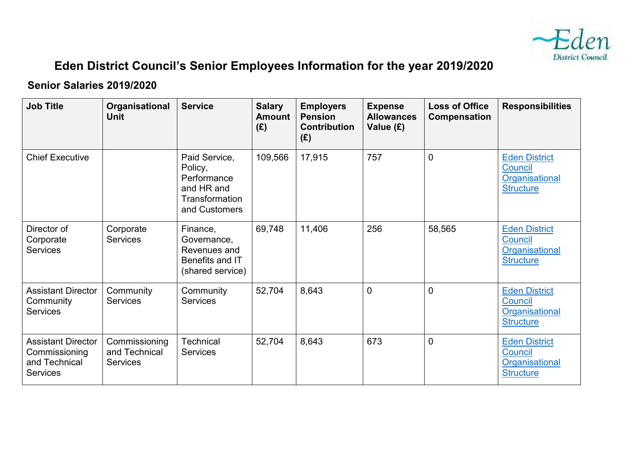

## **Eden District Council's Senior Employees Information for the year 2019/2020**

## **Senior Salaries 2019/2020**

| <b>Job Title</b>                                                               | Organisational<br><b>Unit</b>                     | <b>Service</b>                                                                           | <b>Salary</b><br><b>Amount</b><br>(E) | <b>Employers</b><br><b>Pension</b><br><b>Contribution</b><br>(E) | <b>Expense</b><br><b>Allowances</b><br>Value (£) | <b>Loss of Office</b><br>Compensation | <b>Responsibilities</b>                                               |
|--------------------------------------------------------------------------------|---------------------------------------------------|------------------------------------------------------------------------------------------|---------------------------------------|------------------------------------------------------------------|--------------------------------------------------|---------------------------------------|-----------------------------------------------------------------------|
| <b>Chief Executive</b>                                                         |                                                   | Paid Service,<br>Policy,<br>Performance<br>and HR and<br>Transformation<br>and Customers | 109,566                               | 17,915                                                           | 757                                              | $\overline{0}$                        | <b>Eden District</b><br>Council<br>Organisational<br><b>Structure</b> |
| Director of<br>Corporate<br><b>Services</b>                                    | Corporate<br><b>Services</b>                      | Finance,<br>Governance,<br>Revenues and<br>Benefits and IT<br>(shared service)           | 69,748                                | 11,406                                                           | 256                                              | 58,565                                | <b>Eden District</b><br>Council<br>Organisational<br><b>Structure</b> |
| <b>Assistant Director</b><br>Community<br><b>Services</b>                      | Community<br><b>Services</b>                      | Community<br>Services                                                                    | 52,704                                | 8,643                                                            | $\overline{0}$                                   | $\overline{0}$                        | <b>Eden District</b><br>Council<br>Organisational<br><b>Structure</b> |
| <b>Assistant Director</b><br>Commissioning<br>and Technical<br><b>Services</b> | Commissioning<br>and Technical<br><b>Services</b> | <b>Technical</b><br><b>Services</b>                                                      | 52,704                                | 8,643                                                            | 673                                              | $\overline{0}$                        | <b>Eden District</b><br>Council<br>Organisational<br><b>Structure</b> |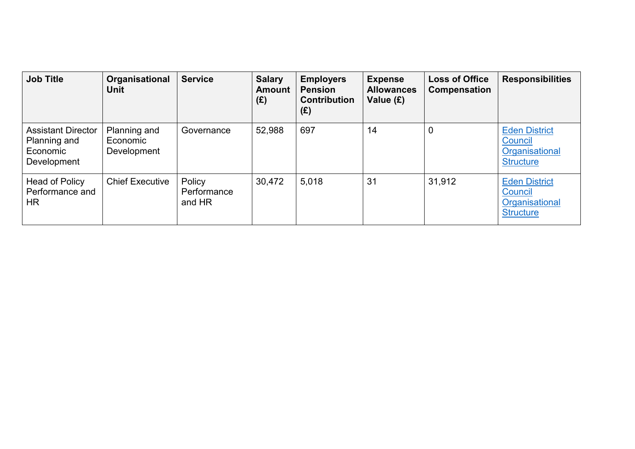| <b>Job Title</b>                                                     | Organisational<br><b>Unit</b>           | <b>Service</b>                  | <b>Salary</b><br><b>Amount</b><br>(E) | <b>Employers</b><br><b>Pension</b><br><b>Contribution</b><br>(E) | <b>Expense</b><br><b>Allowances</b><br>Value (£) | <b>Loss of Office</b><br>Compensation | <b>Responsibilities</b>                                               |
|----------------------------------------------------------------------|-----------------------------------------|---------------------------------|---------------------------------------|------------------------------------------------------------------|--------------------------------------------------|---------------------------------------|-----------------------------------------------------------------------|
| <b>Assistant Director</b><br>Planning and<br>Economic<br>Development | Planning and<br>Economic<br>Development | Governance                      | 52,988                                | 697                                                              | 14                                               | $\overline{0}$                        | <b>Eden District</b><br>Council<br>Organisational<br><b>Structure</b> |
| Head of Policy<br>Performance and<br>HR.                             | <b>Chief Executive</b>                  | Policy<br>Performance<br>and HR | 30,472                                | 5,018                                                            | 31                                               | 31,912                                | <b>Eden District</b><br>Council<br>Organisational<br><b>Structure</b> |